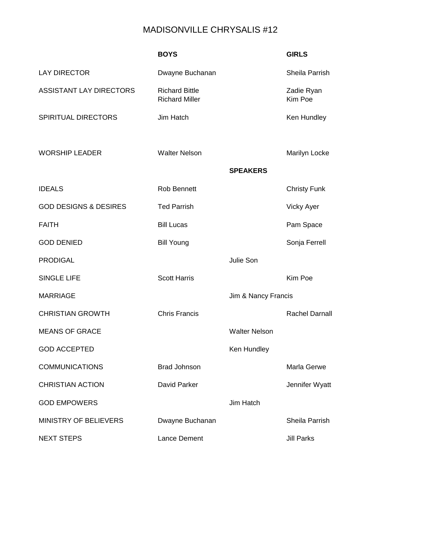## MADISONVILLE CHRYSALIS #12

|                                  | <b>BOYS</b>                                    |                      | <b>GIRLS</b>          |
|----------------------------------|------------------------------------------------|----------------------|-----------------------|
| <b>LAY DIRECTOR</b>              | Dwayne Buchanan                                |                      | Sheila Parrish        |
| <b>ASSISTANT LAY DIRECTORS</b>   | <b>Richard Bittle</b><br><b>Richard Miller</b> |                      | Zadie Ryan<br>Kim Poe |
| SPIRITUAL DIRECTORS              | Jim Hatch                                      |                      | Ken Hundley           |
|                                  |                                                |                      |                       |
| <b>WORSHIP LEADER</b>            | <b>Walter Nelson</b>                           |                      | Marilyn Locke         |
|                                  |                                                | <b>SPEAKERS</b>      |                       |
| <b>IDEALS</b>                    | Rob Bennett                                    |                      | <b>Christy Funk</b>   |
| <b>GOD DESIGNS &amp; DESIRES</b> | <b>Ted Parrish</b>                             |                      | <b>Vicky Ayer</b>     |
| <b>FAITH</b>                     | <b>Bill Lucas</b>                              |                      | Pam Space             |
| <b>GOD DENIED</b>                | <b>Bill Young</b>                              |                      | Sonja Ferrell         |
| <b>PRODIGAL</b>                  |                                                | Julie Son            |                       |
| <b>SINGLE LIFE</b>               | <b>Scott Harris</b>                            |                      | Kim Poe               |
| <b>MARRIAGE</b>                  |                                                | Jim & Nancy Francis  |                       |
| <b>CHRISTIAN GROWTH</b>          | <b>Chris Francis</b>                           |                      | <b>Rachel Darnall</b> |
| <b>MEANS OF GRACE</b>            |                                                | <b>Walter Nelson</b> |                       |
| <b>GOD ACCEPTED</b>              |                                                | Ken Hundley          |                       |
| <b>COMMUNICATIONS</b>            | <b>Brad Johnson</b>                            |                      | Marla Gerwe           |
| <b>CHRISTIAN ACTION</b>          | David Parker                                   |                      | Jennifer Wyatt        |
| <b>GOD EMPOWERS</b>              |                                                | Jim Hatch            |                       |
| <b>MINISTRY OF BELIEVERS</b>     | Dwayne Buchanan                                |                      | Sheila Parrish        |
| <b>NEXT STEPS</b>                | Lance Dement                                   |                      | <b>Jill Parks</b>     |